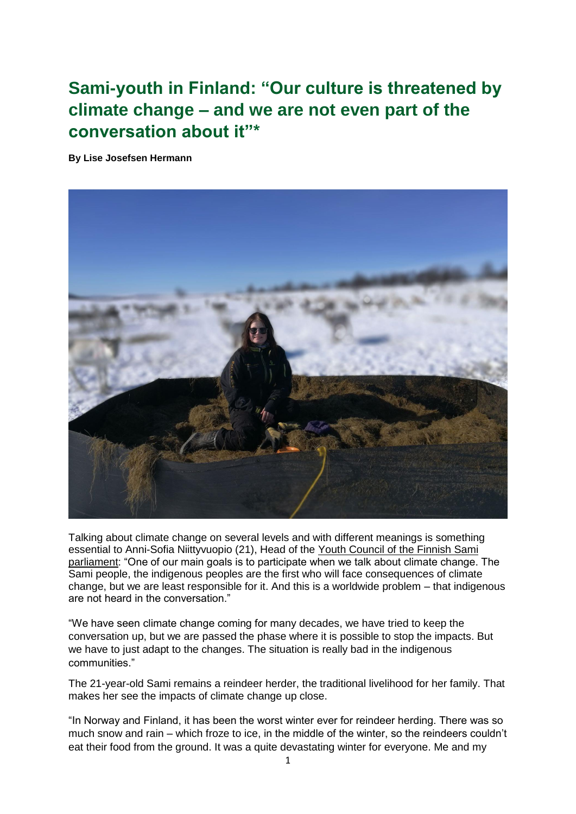## **Sami-youth in Finland: "Our culture is threatened by climate change – and we are not even part of the conversation about it"\***

**By Lise Josefsen Hermann**



Talking about climate change on several levels and with different meanings is something essential to Anni-Sofia Niittyvuopio (21), Head of the Youth Council of the Finnish Sami [parliament:](https://www.samediggi.fi/expert-committees/nuoriso/?lang=en) "One of our main goals is to participate when we talk about climate change. The Sami people, the indigenous peoples are the first who will face consequences of climate change, but we are least responsible for it. And this is a worldwide problem – that indigenous are not heard in the conversation."

"We have seen climate change coming for many decades, we have tried to keep the conversation up, but we are passed the phase where it is possible to stop the impacts. But we have to just adapt to the changes. The situation is really bad in the indigenous communities."

The 21-year-old Sami remains a reindeer herder, the traditional livelihood for her family. That makes her see the impacts of climate change up close.

"In Norway and Finland, it has been the worst winter ever for reindeer herding. There was so much snow and rain – which froze to ice, in the middle of the winter, so the reindeers couldn't eat their food from the ground. It was a quite devastating winter for everyone. Me and my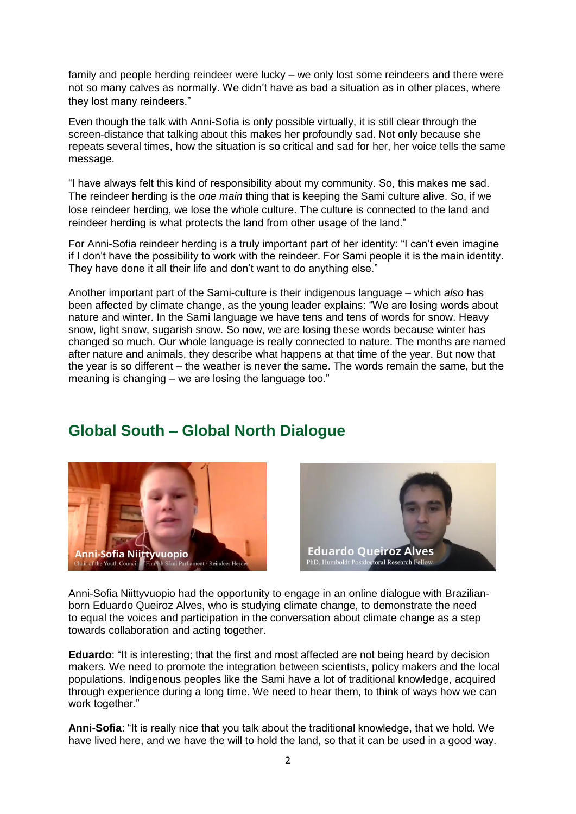family and people herding reindeer were lucky – we only lost some reindeers and there were not so many calves as normally. We didn't have as bad a situation as in other places, where they lost many reindeers."

Even though the talk with Anni-Sofia is only possible virtually, it is still clear through the screen-distance that talking about this makes her profoundly sad. Not only because she repeats several times, how the situation is so critical and sad for her, her voice tells the same message.

"I have always felt this kind of responsibility about my community. So, this makes me sad. The reindeer herding is the *one main* thing that is keeping the Sami culture alive. So, if we lose reindeer herding, we lose the whole culture. The culture is connected to the land and reindeer herding is what protects the land from other usage of the land."

For Anni-Sofia reindeer herding is a truly important part of her identity: "I can't even imagine if I don't have the possibility to work with the reindeer. For Sami people it is the main identity. They have done it all their life and don't want to do anything else."

Another important part of the Sami-culture is their indigenous language – which *also* has been affected by climate change, as the young leader explains: "We are losing words about nature and winter. In the Sami language we have tens and tens of words for snow. Heavy snow, light snow, sugarish snow. So now, we are losing these words because winter has changed so much. Our whole language is really connected to nature. The months are named after nature and animals, they describe what happens at that time of the year. But now that the year is so different – the weather is never the same. The words remain the same, but the meaning is changing – we are losing the language too."

## **Global South – Global North Dialogue**





Anni-Sofia Niittyvuopio had the opportunity to engage in an online dialogue with Brazilianborn Eduardo Queiroz Alves, who is studying climate change, to demonstrate the need to equal the voices and participation in the conversation about climate change as a step towards collaboration and acting together.

**Eduardo**: "It is interesting; that the first and most affected are not being heard by decision makers. We need to promote the integration between scientists, policy makers and the local populations. Indigenous peoples like the Sami have a lot of traditional knowledge, acquired through experience during a long time. We need to hear them, to think of ways how we can work together."

**Anni-Sofia**: "It is really nice that you talk about the traditional knowledge, that we hold. We have lived here, and we have the will to hold the land, so that it can be used in a good way.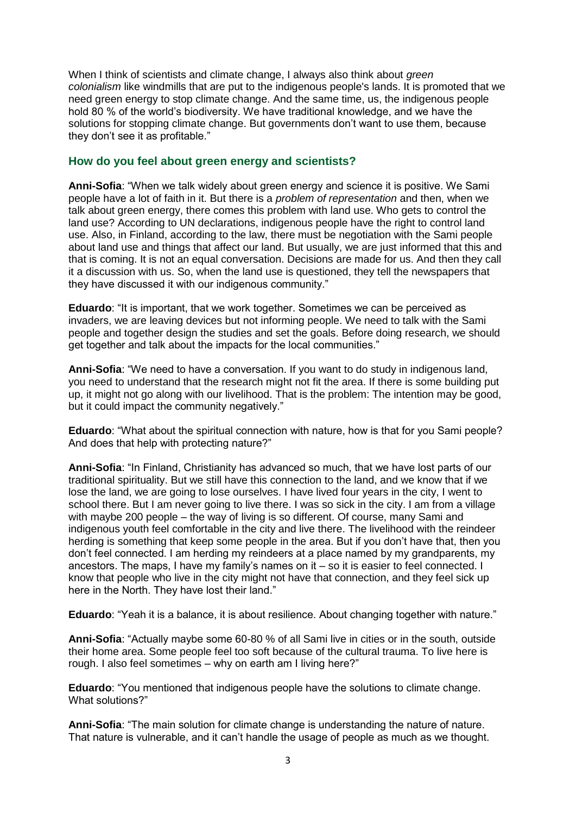When I think of scientists and climate change, I always also think about *green colonialism* like windmills that are put to the indigenous people's lands. It is promoted that we need green energy to stop climate change. And the same time, us, the indigenous people hold 80 % of the world's biodiversity. We have traditional knowledge, and we have the solutions for stopping climate change. But governments don't want to use them, because they don't see it as profitable."

## **How do you feel about green energy and scientists?**

**Anni-Sofia**: "When we talk widely about green energy and science it is positive. We Sami people have a lot of faith in it. But there is a *problem of representation* and then, when we talk about green energy, there comes this problem with land use. Who gets to control the land use? According to UN declarations, indigenous people have the right to control land use. Also, in Finland, according to the law, there must be negotiation with the Sami people about land use and things that affect our land. But usually, we are just informed that this and that is coming. It is not an equal conversation. Decisions are made for us. And then they call it a discussion with us. So, when the land use is questioned, they tell the newspapers that they have discussed it with our indigenous community."

**Eduardo**: "It is important, that we work together. Sometimes we can be perceived as invaders, we are leaving devices but not informing people. We need to talk with the Sami people and together design the studies and set the goals. Before doing research, we should get together and talk about the impacts for the local communities."

**Anni-Sofia**: "We need to have a conversation. If you want to do study in indigenous land, you need to understand that the research might not fit the area. If there is some building put up, it might not go along with our livelihood. That is the problem: The intention may be good, but it could impact the community negatively."

**Eduardo**: "What about the spiritual connection with nature, how is that for you Sami people? And does that help with protecting nature?"

**Anni-Sofia**: "In Finland, Christianity has advanced so much, that we have lost parts of our traditional spirituality. But we still have this connection to the land, and we know that if we lose the land, we are going to lose ourselves. I have lived four years in the city, I went to school there. But I am never going to live there. I was so sick in the city. I am from a village with maybe 200 people – the way of living is so different. Of course, many Sami and indigenous youth feel comfortable in the city and live there. The livelihood with the reindeer herding is something that keep some people in the area. But if you don't have that, then you don't feel connected. I am herding my reindeers at a place named by my grandparents, my ancestors. The maps, I have my family's names on it – so it is easier to feel connected. I know that people who live in the city might not have that connection, and they feel sick up here in the North. They have lost their land."

**Eduardo**: "Yeah it is a balance, it is about resilience. About changing together with nature."

**Anni-Sofia**: "Actually maybe some 60-80 % of all Sami live in cities or in the south, outside their home area. Some people feel too soft because of the cultural trauma. To live here is rough. I also feel sometimes – why on earth am I living here?"

**Eduardo**: "You mentioned that indigenous people have the solutions to climate change. What solutions?"

**Anni-Sofia**: "The main solution for climate change is understanding the nature of nature. That nature is vulnerable, and it can't handle the usage of people as much as we thought.